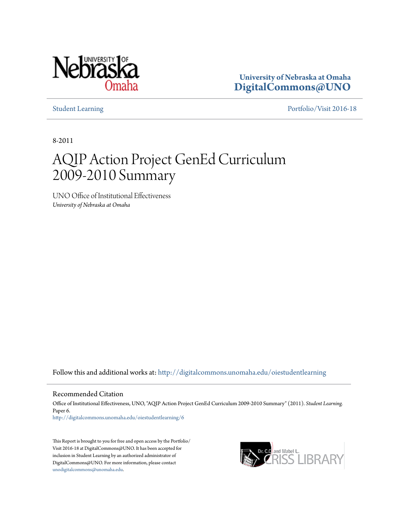

**University of Nebraska at Omaha [DigitalCommons@UNO](http://digitalcommons.unomaha.edu?utm_source=digitalcommons.unomaha.edu%2Foiestudentlearning%2F6&utm_medium=PDF&utm_campaign=PDFCoverPages)**

[Student Learning](http://digitalcommons.unomaha.edu/oiestudentlearning?utm_source=digitalcommons.unomaha.edu%2Foiestudentlearning%2F6&utm_medium=PDF&utm_campaign=PDFCoverPages) [Portfolio/Visit 2016-18](http://digitalcommons.unomaha.edu/oieportfolio?utm_source=digitalcommons.unomaha.edu%2Foiestudentlearning%2F6&utm_medium=PDF&utm_campaign=PDFCoverPages)

8-2011

## AQIP Action Project GenEd Curriculum 2009-2010 Summary

UNO Office of Institutional Effectiveness *University of Nebraska at Omaha*

Follow this and additional works at: [http://digitalcommons.unomaha.edu/oiestudentlearning](http://digitalcommons.unomaha.edu/oiestudentlearning?utm_source=digitalcommons.unomaha.edu%2Foiestudentlearning%2F6&utm_medium=PDF&utm_campaign=PDFCoverPages)

Recommended Citation

Office of Institutional Effectiveness, UNO, "AQIP Action Project GenEd Curriculum 2009-2010 Summary" (2011). *Student Learning.* Paper 6. [http://digitalcommons.unomaha.edu/oiestudentlearning/6](http://digitalcommons.unomaha.edu/oiestudentlearning/6?utm_source=digitalcommons.unomaha.edu%2Foiestudentlearning%2F6&utm_medium=PDF&utm_campaign=PDFCoverPages)

This Report is brought to you for free and open access by the Portfolio/ Visit 2016-18 at DigitalCommons@UNO. It has been accepted for inclusion in Student Learning by an authorized administrator of DigitalCommons@UNO. For more information, please contact [unodigitalcommons@unomaha.edu](mailto:unodigitalcommons@unomaha.edu).

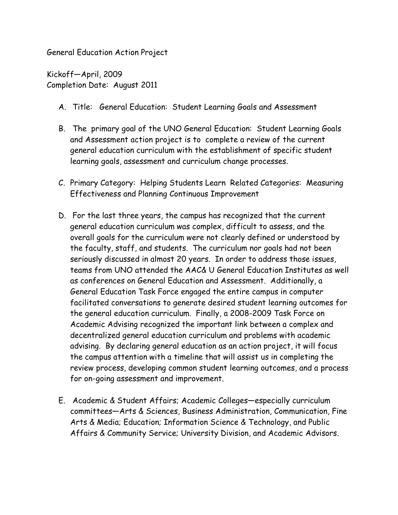General Education Action Project

Kickoff—April, 2009 Completion Date: August 2011

- A. Title: General Education: Student Learning Goals and Assessment
- B. The primary goal of the UNO General Education: Student Learning Goals and Assessment action project is to complete a review of the current general education curriculum with the establishment of specific student learning goals, assessment and curriculum change processes.
- C. Primary Category: Helping Students Learn Related Categories: Measuring Effectiveness and Planning Continuous Improvement
- D. For the last three years, the campus has recognized that the current general education curriculum was complex, difficult to assess, and the overall goals for the curriculum were not clearly defined or understood by the faculty, staff, and students. The curriculum nor goals had not been seriously discussed in almost 20 years. In order to address those issues, teams from UNO attended the AAC& U General Education Institutes as well as conferences on General Education and Assessment. Additionally, a General Education Task Force engaged the entire campus in computer facilitated conversations to generate desired student learning outcomes for the general education curriculum. Finally, a 2008-2009 Task Force on Academic Advising recognized the important link between a complex and decentralized general education curriculum and problems with academic advising. By declaring general education as an action project, it will focus the campus attention with a timeline that will assist us in completing the review process, developing common student learning outcomes, and a process for on-going assessment and improvement.
- E. Academic & Student Affairs; Academic Colleges—especially curriculum committees—Arts & Sciences, Business Administration, Communication, Fine Arts & Media; Education; Information Science & Technology, and Public Affairs & Community Service; University Division, and Academic Advisors.